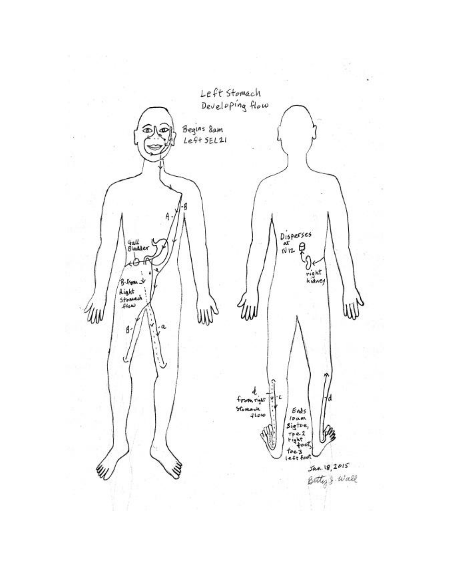